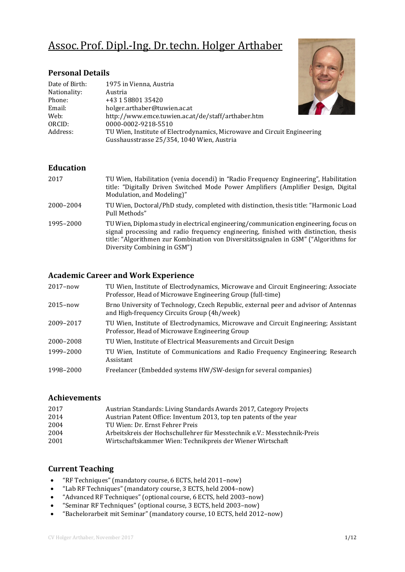# Assoc.Prof. Dipl.-Ing. Dr.techn. Holger Arthaber

## **Personal Details**

| 1975 in Vienna, Austria                                                                                                |
|------------------------------------------------------------------------------------------------------------------------|
|                                                                                                                        |
| Austria                                                                                                                |
| +43 1 58801 35420                                                                                                      |
| holger.arthaber@tuwien.ac.at                                                                                           |
| http://www.emce.tuwien.ac.at/de/staff/arthaber.htm                                                                     |
| 0000-0002-9218-5510                                                                                                    |
| TU Wien, Institute of Electrodynamics, Microwave and Circuit Engineering<br>Gusshausstrasse 25/354, 1040 Wien, Austria |
|                                                                                                                        |

#### **Education**

| 2017      | TU Wien, Habilitation (venia docendi) in "Radio Frequency Engineering", Habilitation<br>title: "Digitally Driven Switched Mode Power Amplifiers (Amplifier Design, Digital<br>Modulation, and Modeling)"                                                                                             |
|-----------|------------------------------------------------------------------------------------------------------------------------------------------------------------------------------------------------------------------------------------------------------------------------------------------------------|
| 2000-2004 | TU Wien, Doctoral/PhD study, completed with distinction, thesis title: "Harmonic Load"<br>Pull Methods"                                                                                                                                                                                              |
| 1995-2000 | TU Wien, Diploma study in electrical engineering/communication engineering, focus on<br>signal processing and radio frequency engineering, finished with distinction, thesis<br>title: "Algorithmen zur Kombination von Diversitätssignalen in GSM" ("Algorithms for<br>Diversity Combining in GSM") |

## **Academic Career and Work Experience**

| $2017 - now$ | TU Wien, Institute of Electrodynamics, Microwave and Circuit Engineering; Associate<br>Professor, Head of Microwave Engineering Group (full-time) |
|--------------|---------------------------------------------------------------------------------------------------------------------------------------------------|
| $2015 - now$ | Brno University of Technology, Czech Republic, external peer and advisor of Antennas<br>and High-frequency Circuits Group (4h/week)               |
| 2009-2017    | TU Wien, Institute of Electrodynamics, Microwave and Circuit Engineering; Assistant<br>Professor, Head of Microwave Engineering Group             |
| 2000-2008    | TU Wien, Institute of Electrical Measurements and Circuit Design                                                                                  |
| 1999-2000    | TU Wien, Institute of Communications and Radio Frequency Engineering; Research<br>Assistant                                                       |
| 1998–2000    | Freelancer (Embedded systems HW/SW-design for several companies)                                                                                  |

#### **Achievements**

| 2017 | Austrian Standards: Living Standards Awards 2017, Category Projects      |
|------|--------------------------------------------------------------------------|
| 2014 | Austrian Patent Office: Inventum 2013, top ten patents of the year       |
| 2004 | TU Wien: Dr. Ernst Fehrer Preis                                          |
| 2004 | Arbeitskreis der Hochschullehrer für Messtechnik e.V.: Messtechnik-Preis |
| 2001 | Wirtschaftskammer Wien: Technikpreis der Wiener Wirtschaft               |
|      |                                                                          |

## **Current Teaching**

- "RF Techniques" (mandatory course, 6 ECTS, held 2011–now)<br>• "Lab RF Techniques" (mandatory course, 3 ECTS, held 2004–n
- "Lab RF Techniques" (mandatory course, 3 ECTS, held 2004–now)
- "Advanced RF Techniques" (optional course, 6 ECTS, held 2003–now)<br>• "Seminar RF Techniques" (optional course, 3 ECTS, held 2003–now)
- "Seminar RF Techniques" (optional course, 3 ECTS, held 2003–now)<br>• "Bachelorarbeit mit Seminar" (mandatory course, 10 ECTS, held 201
- "Bachelorarbeit mit Seminar" (mandatory course, 10 ECTS, held 2012–now)

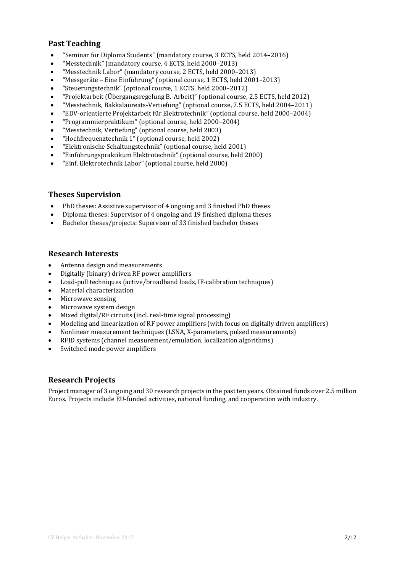## **Past Teaching**

- "Seminar for Diploma Students" (mandatory course, 3 ECTS, held 2014–2016)<br>• "Messtechnik" (mandatory course 4 ECTS, held 2000–2013)
- "Messtechnik" (mandatory course, 4 ECTS, held 2000–2013)<br>• "Messtechnik Labor" (mandatory course 2 ECTS held 2000–
- "Messtechnik Labor" (mandatory course, 2 ECTS, held 2000–2013)<br>• "Messgeräte Eine Einführung" (optional course, 1 ECTS, held 2001
- "Messgeräte Eine Einführung" (optional course, 1 ECTS, held 2001–2013)
- "Steuerungstechnik" (optional course, 1 ECTS, held 2000–2012)
- "Projektarbeit (Übergangsregelung B.-Arbeit)" (optional course, 2.5 ECTS, held 2012)
- "Messtechnik, Bakkalaureats-Vertiefung" (optional course, 7.5 ECTS, held 2004–2011)
- "EDV-orientierte Projektarbeit für Elektrotechnik" (optional course, held 2000–2004)
- "Programmierpraktikum" (optional course, held 2000–2004)<br>• "Messtechnik. Vertiefung" (optional course, held 2003)
- "Messtechnik, Vertiefung" (optional course, held 2003)
- "Hochfrequenztechnik 1" (optional course, held 2002)<br>• "Elektronische Schaltungstechnik" (optional course, he
- "Elektronische Schaltungstechnik" (optional course, held 2001)
- "Einführungspraktikum Elektrotechnik" (optional course, held 2000)
- "Einf. Elektrotechnik Labor" (optional course, held 2000)

#### **Theses Supervision**

- PhD theses: Assistive supervisor of 4 ongoing and 3 finished PhD theses<br>• Diploma theses: Supervisor of 4 ongoing and 19 finished diploma theses
- Diploma theses: Supervisor of 4 ongoing and 19 finished diploma theses<br>• Bachelor theses /projects: Supervisor of 33 finished bachelor theses
- Bachelor theses/projects: Supervisor of 33 finished bachelor theses

#### **Research Interests**

- Antenna design and measurements
- Digitally (binary) driven RF power amplifiers
- Load-pull techniques (active/broadband loads, IF-calibration techniques)<br>• Material characterization
- Material characterization
- Microwave sensing
- Microwave system design
- Mixed digital/RF circuits (incl. real-time signal processing)
- Modeling and linearization of RF power amplifiers (with focus on digitally driven amplifiers)
- Nonlinear measurement techniques (LSNA, X-parameters, pulsed measurements)
- RFID systems (channel measurement/emulation, localization algorithms)
- Switched mode power amplifiers

#### **Research Projects**

Project manager of 3 ongoing and 30 research projects in the past ten years. Obtained funds over 2.5 million Euros. Projects include EU-funded activities, national funding, and cooperation with industry.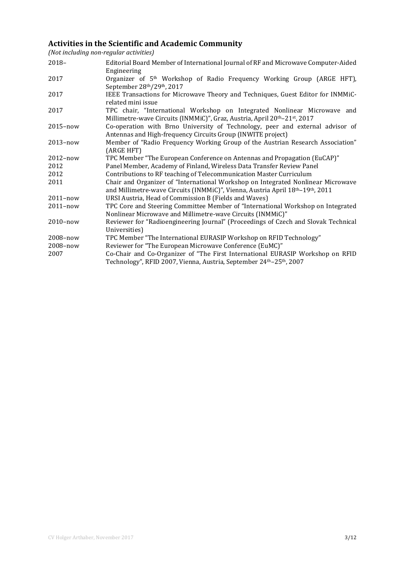## **Activities in the Scientific and Academic Community**

*(Not including non-regular activities)*

| $2018-$      | Editorial Board Member of International Journal of RF and Microwave Computer-Aided<br>Engineering                                                                              |
|--------------|--------------------------------------------------------------------------------------------------------------------------------------------------------------------------------|
| 2017         | Organizer of 5 <sup>th</sup> Workshop of Radio Frequency Working Group (ARGE HFT),<br>September 28th/29th, 2017                                                                |
| 2017         | IEEE Transactions for Microwave Theory and Techniques, Guest Editor for INMMiC-<br>related mini issue                                                                          |
| 2017         | TPC chair, "International Workshop on Integrated Nonlinear Microwave and<br>Millimetre-wave Circuits (INMMiC)", Graz, Austria, April 20 <sup>th</sup> -21 <sup>st</sup> , 2017 |
| $2015 - now$ | Co-operation with Brno University of Technology, peer and external advisor of<br>Antennas and High-frequency Circuits Group (INWITE project)                                   |
| $2013 - now$ | Member of "Radio Frequency Working Group of the Austrian Research Association"<br>(ARGE HFT)                                                                                   |
| $2012 - now$ | TPC Member "The European Conference on Antennas and Propagation (EuCAP)"                                                                                                       |
| 2012         | Panel Member, Academy of Finland, Wireless Data Transfer Review Panel                                                                                                          |
| 2012         | Contributions to RF teaching of Telecommunication Master Curriculum                                                                                                            |
| 2011         | Chair and Organizer of "International Workshop on Integrated Nonlinear Microwave<br>and Millimetre-wave Circuits (INMMiC)", Vienna, Austria April 18th-19th, 2011              |
| $2011 - now$ | URSI Austria, Head of Commission B (Fields and Waves)                                                                                                                          |
| $2011 - now$ | TPC Core and Steering Committee Member of "International Workshop on Integrated<br>Nonlinear Microwave and Millimetre-wave Circuits (INMMiC)"                                  |
| 2010-now     | Reviewer for "Radioengineering Journal" (Proceedings of Czech and Slovak Technical<br>Universities)                                                                            |
| 2008-now     | TPC Member "The International EURASIP Workshop on RFID Technology"                                                                                                             |
| 2008-now     | Reviewer for "The European Microwave Conference (EuMC)"                                                                                                                        |
| 2007         | Co-Chair and Co-Organizer of "The First International EURASIP Workshop on RFID<br>Technology", RFID 2007, Vienna, Austria, September 24 <sup>th</sup> -25 <sup>th</sup> , 2007 |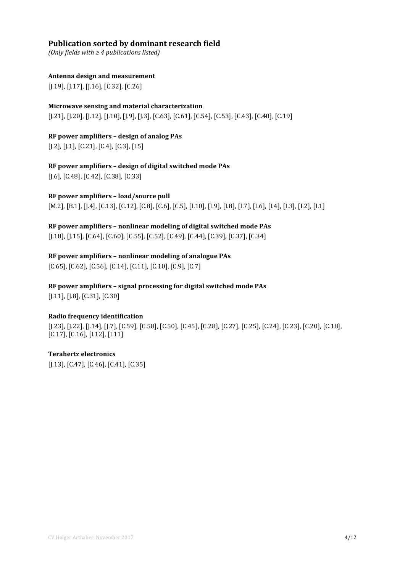## **Publication sorted by dominant research field**

*(Only fields with ≥ 4 publications listed)*

#### **Antenna design and measurement**

[J.19], [J.17], [J.16], [C.32], [C.26]

## **Microwave sensing and material characterization**

[J.21], [J.20], [J.12], [J.10], [J.9], [J.3], [C.63], [C.61], [C.54], [C.53], [C.43], [C.40], [C.19]

## **RF power amplifiers – design of analog PAs**

[J.2], [J.1], [C.21], [C.4], [C.3], [I.5]

## **RF power amplifiers – design of digital switched mode PAs**

[J.6], [C.48], [C.42], [C.38], [C.33]

#### **RF power amplifiers – load/source pull**

[M.2], [B.1], [J.4], [C.13], [C.12], [C.8], [C.6], [C.5], [I.10], [I.9], [I.8], [I.7], [I.6], [I.4], [I.3], [I.2], [I.1]

#### **RF power amplifiers – nonlinear modeling of digital switched mode PAs**

[J.18], [J.15], [C.64], [C.60], [C.55], [C.52], [C.49], [C.44], [C.39], [C.37], [C.34]

## **RF power amplifiers – nonlinear modeling of analogue PAs**

[C.65], [C.62], [C.56], [C.14], [C.11], [C.10], [C.9], [C.7]

## **RF power amplifiers – signal processing for digital switched mode PAs**

[J.11], [J.8], [C.31], [C.30]

#### **Radio frequency identification**

[J.23], [J.22], [J.14], [J.7], [C.59], [C.58], [C.50], [C.45], [C.28], [C.27], [C.25], [C.24], [C.23], [C.20], [C.18], [C.17], [C.16], [I.12], [I.11]

## **Terahertz electronics**

[J.13], [C.47], [C.46], [C.41], [C.35]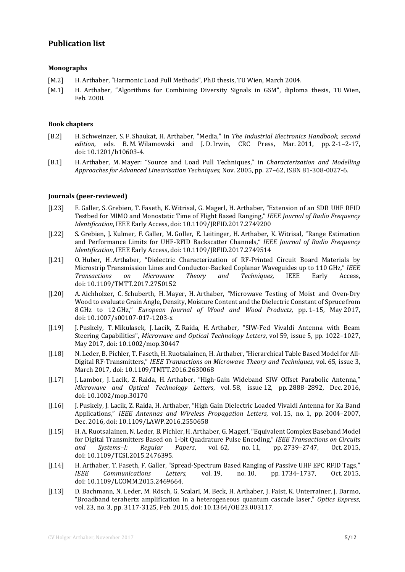#### **Publication list**

#### **Monographs**

- [M.2] H. Arthaber, "Harmonic Load Pull Methods", PhD thesis, TU Wien, March 2004.
- [M.1] H. Arthaber, "Algorithms for Combining Diversity Signals in GSM", diploma thesis, TU Wien, Feb. 2000.

#### **Book chapters**

- [B.2] H. Schweinzer, S. F. Shaukat, H. Arthaber, "Media," in *The Industrial Electronics Handbook, second edition*, eds. B. M. Wilamowski and J. D. Irwin, CRC Press, Mar. 2011, pp. 2-1–2-17, doi: 10.1201/b10603-4.
- [B.1] H. Arthaber, M. Mayer: "Source and Load Pull Techniques," in *Characterization and Modelling Approaches for Advanced Linearisation Techniques*, Nov. 2005, pp. 27–62, ISBN 81-308-0027-6.

#### **Journals (peer-reviewed)**

- [J.23] F. Galler, S. Grebien, T. Faseth, K. Witrisal, G. Magerl, H. Arthaber, "Extension of an SDR UHF RFID Testbed for MIMO and Monostatic Time of Flight Based Ranging," *IEEE Journal of Radio Frequency Identification*, IEEE Early Access, doi: 10.1109/JRFID.2017.2749200
- [J.22] S. Grebien, J. Kulmer, F. Galler, M. Goller, E. Leitinger, H. Arthaber, K. Witrisal, "Range Estimation and Performance Limits for UHF-RFID Backscatter Channels," *IEEE Journal of Radio Frequency Identification*, IEEE Early Access, doi: 10.1109/JRFID.2017.2749514
- [J.21] O. Huber, H. Arthaber, "Dielectric Characterization of RF-Printed Circuit Board Materials by Microstrip Transmission Lines and Conductor-Backed Coplanar Waveguides up to 110 GHz," *IEEE*<br> *Transactions* 
on Microwave Theory and Techniques, IEEE Early Access, *Transactions on Microwave Theory and Techniques*, IEEE Early Access, doi: 10.1109/TMTT.2017.2750152
- [J.20] A. Aichholzer, C. Schuberth, H. Mayer, H. Arthaber, "Microwave Testing of Moist and Oven-Dry Wood to evaluate Grain Angle, Density, Moisture Content and the Dielectric Constant of Spruce from 8 GHz to 12 GHz," *European Journal of Wood and Wood Products*, pp. 1–15, May 2017, doi: 10.1007/s00107-017-1203-x
- [J.19] J. Puskely, T. Mikulasek, J. Lacik, Z. Raida, H. Arthaber, "SIW-Fed Vivaldi Antenna with Beam Steering Capabilities", *Microwave and Optical Technology Letters*, vol 59, issue 5, pp. 1022–1027, May 2017, doi: 10.1002/mop.30447
- [J.18] N. Leder, B. Pichler, T. Faseth, H. Ruotsalainen, H. Arthaber, "Hierarchical Table Based Model for All-Digital RF-Transmitters," *IEEE Transactions on Microwave Theory and Techniques*, vol. 65, issue 3, March 2017, doi: 10.1109/TMTT.2016.2630068
- [J.17] J. Lambor, J. Lacik, Z. Raida, H. Arthaber, "High-Gain Wideband SIW Offset Parabolic Antenna," *Microwave and Optical Technology Letters*, vol. 58, issue 12, pp. 2888–2892, Dec. 2016, doi: 10.1002/mop.30170
- [J.16] J. Puskely, J. Lacik, Z. Raida, H. Arthaber, "High Gain Dielectric Loaded Vivaldi Antenna for Ka Band Applications," *IEEE Antennas and Wireless Propagation Letters*, vol. 15, no. 1, pp. 2004–2007, Dec. 2016, doi: 10.1109/LAWP.2016.2550658
- [J.15] H. A. Ruotsalainen, N. Leder, B. Pichler, H. Arthaber, G. Magerl, "Equivalent Complex Baseband Model for Digital Transmitters Based on 1-bit Quadrature Pulse Encoding," *IEEE Transactions on Circuits*  pp. 2739–2747, doi: 10.1109/TCSI.2015.2476395.
- [J.14] H. Arthaber, T. Faseth, F. Galler, "Spread-Spectrum Based Ranging of Passive UHF EPC RFID Tags," pp. 1734–1737. doi: 10.1109/LCOMM.2015.2469664.
- [J.13] D. Bachmann, N. Leder, M. Rösch, G. Scalari, M. Beck, H. Arthaber, J. Faist, K. Unterrainer, J. Darmo, ["Broadband terahertz amplification in a heterogeneous quantum cascade laser,](http://dx.doi.org/10.1364/OE.23.003117)" *Optics Express*, vol. 23, no. 3, pp. 3117-3125, Feb. 2015, doi: 10.1364/OE.23.003117.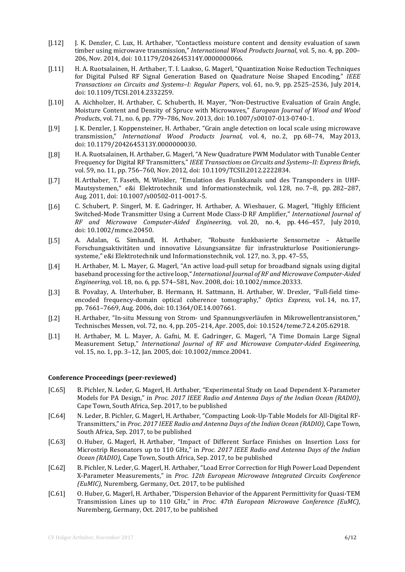- [J.12] J. K. Denzler, C. Lux, H. Arthaber, "Contactless moisture content and density evaluation of sawn timber using microwave transmission," *International Wood Products Journal*, vol. 5, no. 4, pp. 200– 206, Nov. 2014, doi: 10.1179/2042645314Y.0000000066.
- [J.11] H. A. Ruotsalainen, H. Arthaber, T. I. Laakso, G. Magerl, "Quantization Noise Reduction Techniques for Digital Pulsed RF Signal Generation Based on Quadrature Noise Shaped Encoding," *IEEE Transactions on Circuits and Systems–I: Regular Papers*, vol. 61, no. 9, pp. 2525–2536, July 2014, doi: 10.1109/TCSI.2014.2332259.
- [J.10] A. Aichholzer, H. Arthaber, C. Schuberth, H. Mayer, "Non-Destructive Evaluation of Grain Angle, Moisture Content and Density of Spruce with Microwaves," *European Journal of Wood and Wood Product*s, vol. 71, no. 6, pp. 779–786, Nov. 2013, doi: 10.1007/s00107-013-0740-1.
- [J.9] J. K. Denzler, J. Koppensteiner, H. Arthaber, "Grain angle detection on local scale using microwave transmission," *International Wood Products Journal*, vol. 4, no. 2, pp. 68–74, May 2013, doi: 10.1179/2042645313Y.0000000030.
- [J.8] H. A. Ruotsalainen, H. Arthaber, G. Magerl, "A New Quadrature PWM Modulator with Tunable Center Frequency for Digital RF Transmitters," *IEEE Transactions on Circuits and Systems–II: Express Briefs*, vol. 59, no. 11, pp. 756–760, Nov. 2012, doi: 10.1109/TCSII.2012.2222834.
- [J.7] H. Arthaber, T. Faseth, M. Winkler, "Emulation des Funkkanals und des Transponders in UHF-Mautsystemen," e&i Elektrotechnik und Informationstechnik, vol. 128, no. 7–8, pp. 282–287, Aug. 2011, doi: 10.1007/s00502-011-0017-5.
- [J.6] C. Schubert, P. Singerl, M. E. Gadringer, H. Arthaber, A. Wiesbauer, G. Magerl, "Highly Efficient Switched-Mode Transmitter Using a Current Mode Class-D RF Amplifier," *International Journal of RF and Microwave Computer-Aided Engineering*, vol. 20, no. 4, pp. 446–457, July 2010, doi: 10.1002/mmce.20450.
- [J.5] A. Adalan, G. Simhandl, H. Arthaber, "Robuste funkbasierte Sensornetze Aktuelle Forschungsaktivitäten und innovative Lösungsansätze für infrastrukturlose Positionierungssysteme," e&i Elektrotechnik und Informationstechnik, vol. 127, no. 3, pp. 47–55,
- [J.4] H. Arthaber, M. L. Mayer, G. Magerl, "An active load-pull setup for broadband signals using digital baseband processing for the active loop," *International Journal of RF and Microwave Computer-Aided Engineering*, vol. 18, no. 6, pp. 574–581, Nov. 2008, doi: 10.1002/mmce.20333.
- [J.3] B. Považay, A. Unterhuber, B. Hermann, H. Sattmann, H. Arthaber, W. Drexler, "Full-field timeencoded frequency-domain optical coherence tomography," *Optics Express*, vol. 14, no. 17, pp. 7661–7669, Aug. 2006, doi: 10.1364/OE.14.007661.
- [J.2] H. Arthaber, "In-situ Messung von Strom- und Spannungsverläufen in Mikrowellentransistoren," Technisches Messen, vol. 72, no. 4, pp. 205–214, Apr. 2005, doi: 10.1524/teme.72.4.205.62918.
- [J.1] H. Arthaber, M. L. Mayer, A. Gafni, M. E. Gadringer, G. Magerl, "A Time Domain Large Signal Measurement Setup," *International Journal of RF and Microwave Computer-Aided Engineering*, vol. 15, no. 1, pp. 3–12, Jan. 2005, doi: 10.1002/mmce.20041.

#### **Conference Proceedings (peer-reviewed)**

- [C.65] B. Pichler, N. Leder, G. Magerl, H. Arthaber, "Experimental Study on Load Dependent X-Parameter Models for PA Design," in *Proc. 2017 IEEE Radio and Antenna Days of the Indian Ocean (RADIO)*, Cape Town, South Africa, Sep. 2017, to be published
- [C.64] N. Leder, B. Pichler, G. Magerl, H. Arthaber, "Compacting Look-Up-Table Models for All-Digital RF-Transmitters," in *Proc. 2017 IEEE Radio and Antenna Days of the Indian Ocean (RADIO)*, Cape Town, South Africa, Sep. 2017, to be published
- [C.63] O. Huber, G. Magerl, H. Arthaber, "Impact of Different Surface Finishes on Insertion Loss for Microstrip Resonators up to 110 GHz," in *Proc. 2017 IEEE Radio and Antenna Days of the Indian Ocean (RADIO)*, Cape Town, South Africa, Sep. 2017, to be published
- [C.62] B. Pichler, N. Leder, G. Magerl, H. Arthaber, "Load Error Correction for High Power Load Dependent X-Parameter Measurements," in *Proc. 12th European Microwave Integrated Circuits Conference (EuMIC)*, Nuremberg, Germany, Oct. 2017, to be published
- [C.61] O. Huber, G. Magerl, H. Arthaber, "Dispersion Behavior of the Apparent Permittivity for Quasi-TEM Transmission Lines up to 110 GHz," in *Proc. 47th European Microwave Conference (EuMC)*, Nuremberg, Germany, Oct. 2017, to be published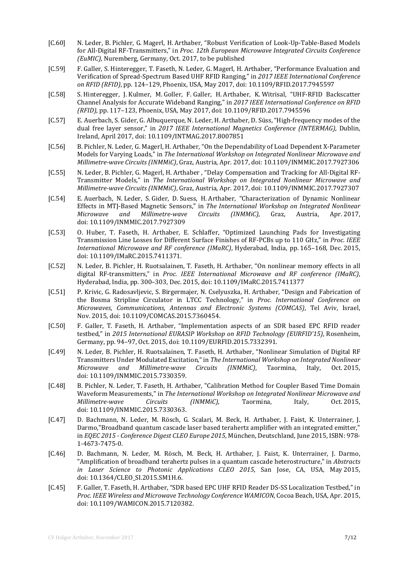- [C.60] N. Leder, B. Pichler, G. Magerl, H. Arthaber, "Robust Verification of Look-Up-Table-Based Models for All-Digital RF-Transmitters," in *Proc. 12th European Microwave Integrated Circuits Conference (EuMIC)*, Nuremberg, Germany, Oct. 2017, to be published
- [C.59] F. Galler, S. Hinteregger, T. Faseth, N. Leder, G. Magerl, H. Arthaber, "Performance Evaluation and Verification of Spread-Spectrum Based UHF RFID Ranging," in *2017 IEEE International Conference on RFID (RFID)*, pp. 124–129, Phoenix, USA, May 2017, doi: 10.1109/RFID.2017.7945597
- [C.58] S. Hinteregger, J. Kulmer, M. Goller, F. Galler, H. Arthaber, K. Witrisal, "UHF-RFID Backscatter Channel Analysis for Accurate Wideband Ranging," in *2017 IEEE International Conference on RFID (RFID)*, pp. 117–123, Phoenix, USA, May 2017, doi: 10.1109/RFID.2017.7945596
- [C.57] E. Auerbach, S. Gider, G. Albuquerque, N. Leder, H. Arthaber, D. Süss, "High-frequency modes of the dual free layer sensor," in *2017 IEEE International Magnetics Conference (INTERMAG)*, Dublin, Ireland, April 2017, doi: 10.1109/INTMAG.2017.8007851
- [C.56] B. Pichler, N. Leder, G. Magerl, H. Arthaber, "On the Dependability of Load Dependent X-Parameter Models for Varying Loads," in *The International Workshop on Integrated Nonlinear Microwave and Millimetre-wave Circuits (INMMiC)*, Graz, Austria, Apr. 2017, doi: 10.1109/INMMIC.2017.7927306
- [C.55] N. Leder, B. Pichler, G. Magerl, H. Arthaber , "Delay Compensation and Tracking for All-Digital RF-Transmitter Models," in *The International Workshop on Integrated Nonlinear Microwave and Millimetre-wave Circuits (INMMiC)*, Graz, Austria, Apr. 2017, doi: 10.1109/INMMIC.2017.7927307
- [C.54] E. Auerbach, N. Leder, S. Gider, D. Suess, H. Arthaber, "Characterization of Dynamic Nonlinear Effects in MTJ-Based Magnetic Sensors," in *The International Workshop on Integrated Nonlinear Millimetre-wave* doi: 10.1109/INMMIC.2017.7927309
- [C.53] O. Huber, T. Faseth, H. Arthaber, E. Schlaffer, "Optimized Launching Pads for Investigating Transmission Line Losses for Different Surface Finishes of RF-PCBs up to 110 GHz," in *Proc. IEEE International Microwave and RF conference (IMaRC)*, Hyderabad, India, pp. 165–168, Dec. 2015, doi: 10.1109/IMaRC.2015.7411371.
- [C.52] N. Leder, B. Pichler, H. Ruotsalainen, T. Faseth, H. Arthaber, "On nonlinear memory effects in all digital RF-transmitters," in *Proc. IEEE International Microwave and RF conference (IMaRC)*, Hyderabad, India, pp. 300–303, Dec. 2015, doi: 10.1109/IMaRC.2015.7411377
- [C.51] P. Krivic, G. Radosavljevic, S. Birgermajer, N. Cselyuszka, H. Arthaber, "Design and Fabrication of the Bosma Stripline Circulator in LTCC Technology," in *Proc. International Conference on Microwaves, Communications, Antennas and Electronic Systems (COMCAS)*, Tel Aviv, Israel, Nov. 2015, doi: 10.1109/COMCAS.2015.7360454.
- [C.50] F. Galler, T. Faseth, H. Arthaber, "Implementation aspects of an SDR based EPC RFID reader testbed," in *2015 International EURASIP Workshop on RFID Technology (EURFID'15)*, Rosenheim, Germany, pp. 94–97, Oct. 2015, doi: 10.1109/EURFID.2015.7332391.
- [C.49] N. Leder, B. Pichler, H. Ruotsalainen, T. Faseth, H. Arthaber, "Nonlinear Simulation of Digital RF Transmitters Under Modulated Excitation," in *The International Workshop on Integrated Nonlinear Millimetre-wave* doi: 10.1109/INMMIC.2015.7330359.
- [C.48] B. Pichler, N. Leder, T. Faseth, H. Arthaber, "Calibration Method for Coupler Based Time Domain Waveform Measurements," in *The International Workshop on Integrated Nonlinear Microwave and Millimetre-wave* doi: 10.1109/INMMIC.2015.7330363.
- [C.47] D. Bachmann, N. Leder, M. Rösch, G. Scalari, M. Beck, H. Arthaber, J. Faist, K. Unterrainer, J. Darmo,"Broadband quantum cascade laser based terahertz amplifier with an integrated emitter," in *EQEC 2015 - Conference Digest CLEO Europe 2015*, München, Deutschland, June 2015, ISBN: 978- 1-4673-7475-0.
- [C.46] D. Bachmann, N. Leder, M. Rösch, M. Beck, H. Arthaber, J. Faist, K. Unterrainer, J. Darmo, ["Amplification of broadband terahertz pulses in a quantum cascade heterostructure,"](http://dx.doi.org/10.1364/CLEO_SI.2015.SM1H.6) in *Abstracts in Laser Science to Photonic Applications CLEO 2015*, San Jose, CA, USA, May 2015, doi: 10.1364/CLEO\_SI.2015.SM1H.6.
- [C.45] F. Galler, T. Faseth, H. Arthaber, "SDR based EPC UHF RFID Reader DS-SS Localization Testbed," in *Proc. IEEE Wireless and Microwave Technology Conference WAMICON*, Cocoa Beach, USA, Apr. 2015, doi: 10.1109/WAMICON.2015.7120382.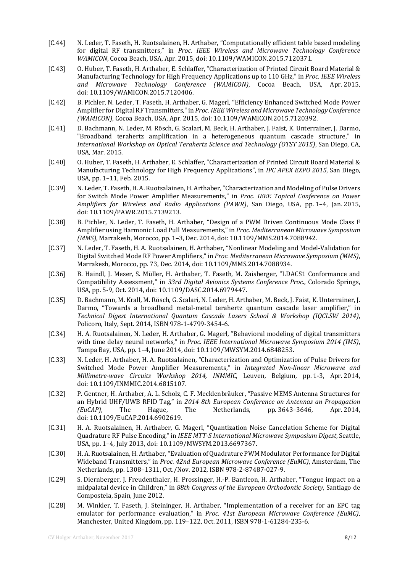- [C.44] N. Leder, T. Faseth, H. Ruotsalainen, H. Arthaber, "Computationally efficient table based modeling for digital RF transmitters," in *Proc. IEEE Wireless and Microwave Technology Conference WAMICON*, Cocoa Beach, USA, Apr. 2015, doi: 10.1109/WAMICON.2015.7120371.
- [C.43] O. Huber, T. Faseth, H. Arthaber, E. Schlaffer, "Characterization of Printed Circuit Board Material & Manufacturing Technology for High Frequency Applications up to 110 GHz," in *Proc. IEEE Wireless and Microwave Technology Conference (WAMICON)*, Cocoa Beach, USA, Apr. 2015, doi: 10.1109/WAMICON.2015.7120406.
- [C.42] B. Pichler, N. Leder, T. Faseth, H. Arthaber, G. Magerl, "Efficiency Enhanced Switched Mode Power Amplifier for Digital RF Transmitters," in *Proc. IEEE Wireless and Microwave Technology Conference (WAMICON)*, Cocoa Beach, USA, Apr. 2015, doi: 10.1109/WAMICON.2015.7120392.
- [C.41] D. Bachmann, N. Leder, M. Rösch, G. Scalari, M. Beck, H. Arthaber, J. Faist, K. Unterrainer, J. Darmo, "Broadband terahertz amplification in a heterogeneous quantum cascade structure," in *International Workshop on Optical Terahertz Science and Technology (OTST 2015)*, San Diego, CA, USA, Mar. 2015.
- [C.40] O. Huber, T. Faseth, H. Arthaber, E. Schlaffer, "Characterization of Printed Circuit Board Material & Manufacturing Technology for High Frequency Applications", in *IPC APEX EXPO 2015*, San Diego, USA, pp. 1–11, Feb. 2015.
- [C.39] N. Leder, T. Faseth, H. A. Ruotsalainen, H. Arthaber, "Characterization and Modeling of Pulse Drivers for Switch Mode Power Amplifier Measurements," in *Proc. IEEE Topical Conference on Power Amplifiers for Wireless and Radio Applications (PAWR)*, San Diego, USA, pp. 1–4, Jan. 2015, doi: 10.1109/PAWR.2015.7139213.
- [C.38] B. Pichler, N. Leder, T. Faseth, H. Arthaber, "Design of a PWM Driven Continuous Mode Class F Amplifier using Harmonic Load Pull Measurements," in *Proc. Mediterranean Microwave Symposium (MMS)*, Marrakesh, Morocco, pp. 1–3, Dec. 2014, doi: 10.1109/MMS.2014.7088942.
- [C.37] N. Leder, T. Faseth, H. A. Ruotsalainen, H. Arthaber, "Nonlinear Modeling and Model-Validation for Digital Switched Mode RF Power Amplifiers," in *Proc. Mediterranean Microwave Symposium (MMS)*, Marrakesh, Morocco, pp. 73, Dec. 2014, doi: 10.1109/MMS.2014.7088934.
- [C.36] B. Haindl, J. Meser, S. Müller, H. Arthaber, T. Faseth, M. Zaisberger, "LDACS1 Conformance and Compatibility Assessment," in *33rd Digital Avionics Systems Conference Proc.*, Colorado Springs, USA, pp. 5-9, Oct. 2014, doi: 10.1109/DASC.2014.6979447.
- [C.35] D. Bachmann, M. Krall, M. Rösch, G. Scalari, N. Leder, H. Arthaber, M. Beck, J. Faist, K. Unterrainer, J. Darmo, "Towards a broadband metal-metal terahertz quantum cascade laser amplifier," in *Technical Digest International Quantum Cascade Lasers School & Workshop (IQCLSW 2014)*, Policoro, Italy, Sept. 2014, ISBN 978-1-4799-3454-6.
- [C.34] H. A. Ruotsalainen, N. Leder, H. Arthaber, G. Magerl, "Behavioral modeling of digital transmitters with time delay neural networks," in *Proc. IEEE International Microwave Symposium 2014 (IMS)*, Tampa Bay, USA, pp. 1–4, June 2014, doi: 10.1109/MWSYM.2014.6848253.
- [C.33] N. Leder, H. Arthaber, H. A. Ruotsalainen, "Characterization and Optimization of Pulse Drivers for Switched Mode Power Amplifier Measurements," in *Integrated Non-linear Microwave and Millimetre-wave Circuits Workshop 2014, INMMIC*, Leuven, Belgium, pp. 1-3, Apr. 2014, doi: 10.1109/INMMIC.2014.6815107.
- [C.32] P. Gentner, H. Arthaber, A. L. Scholz, C. F. Mecklenbräuker, "Passive MEMS Antenna Structures for an Hybrid UHF/UWB RFID Tag," in *2014 8th European Conference on Antennas an Propagation*  pp. 3643-3646, doi: 10.1109/EuCAP.2014.6902619.
- [C.31] H. A. Ruotsalainen, H. Arthaber, G. Magerl, "Quantization Noise Cancelation Scheme for Digital Quadrature RF Pulse Encoding," in *IEEE MTT-S International Microwave Symposium Digest*, Seattle, USA, pp. 1–4, July 2013, doi: 10.1109/MWSYM.2013.6697367.
- [C.30] H. A. Ruotsalainen, H. Arthaber, "Evaluation of Quadrature PWM Modulator Performance for Digital Wideband Transmitters," in *Proc. 42nd European Microwave Conference (EuMC)*, Amsterdam, The Netherlands, pp. 1308–1311, Oct./Nov. 2012, ISBN 978-2-87487-027-9.
- [C.29] S. Diernberger, J. Freudenthaler, H. Prossinger, H.-P. Bantleon, H. Arthaber, "Tongue impact on a midpalatal device in Children," in *88th Congress of the European Orthodontic Society*, Santiago de Compostela, Spain, June 2012.
- [C.28] M. Winkler, T. Faseth, J. Steininger, H. Arthaber, "Implementation of a receiver for an EPC tag emulator for performance evaluation," in *Proc. 41st European Microwave Conference (EuMC)*, Manchester, United Kingdom, pp. 119–122, Oct. 2011, ISBN 978-1-61284-235-6.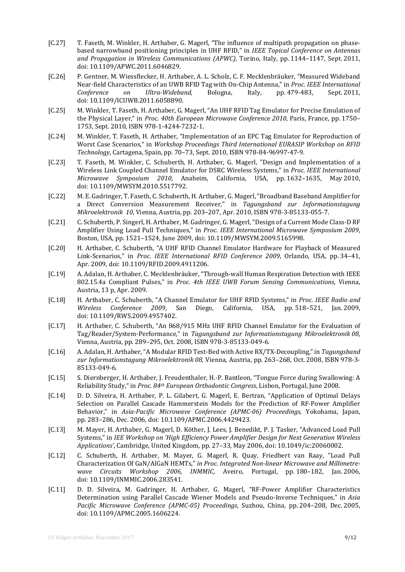- [C.27] T. Faseth, M. Winkler, H. Arthaber, G. Magerl, "The influence of multipath propagation on phasebased narrowband positioning principles in UHF RFID," in *IEEE Topical Conference on Antennas and Propagation in Wireless Communications (APWC)*, Torino, Italy, pp. 1144–1147, Sept. 2011, doi: 10.1109/APWC.2011.6046829.
- [C.26] P. Gentner, M. Wiessflecker, H. Arthaber, A. L. Scholz, C. F. Mecklenbräuker, "Measured Wideband Near-field Characteristics of an UWB RFID Tag with On-Chip Antenna," in *Proc. IEEE International Ultra-Wideband,* doi: 10.1109/ICUWB.2011.6058890.
- [C.25] M. Winkler, T. Faseth, H. Arthaber, G. Magerl, "An UHF RFID Tag Emulator for Precise Emulation of the Physical Layer," in *Proc. 40th European Microwave Conference 2010*, Paris, France, pp. 1750– 1753, Sept. 2010, ISBN 978-1-4244-7232-1.
- [C.24] M. Winkler, T. Faseth, H. Arthaber, "Implementation of an EPC Tag Emulator for Reproduction of Worst Case Scenarios," in *Workshop Proceedings Third International EURASIP Workshop on RFID Technology*, Cartagena, Spain, pp. 70–73, Sept. 2010, ISBN 978-84-96997-47-9.
- [C.23] T. Faseth, M. Winkler, C. Schuberth, H. Arthaber, G. Magerl, "Design and Implementation of a Wireless Link Coupled Channel Emulator for DSRC Wireless Systems," in *Proc. IEEE International Microwave Symposium 2010*, Anaheim, California, USA, pp. 1632–1635, May 2010, doi: 10.1109/MWSYM.2010.5517792.
- [C.22] M. E. Gadringer, T. Faseth, C. Schuberth, H. Arthaber, G. Magerl, "Broadband Baseband Amplifier for a Direct Conversion Measurement Receiver," in *Tagungsband zur Informationstagung Mikroelektronik 10*, Vienna, Austria, pp. 203–207, Apr. 2010, ISBN 978-3-85133-055-7.
- [C.21] C. Schuberth, P. Singerl, H. Arthaber, M. Gadringer, G. Magerl, "Design of a Current Mode Class-D RF Amplifier Using Load Pull Techniques," in *Proc. IEEE International Microwave Symposium 2009*, Boston, USA, pp. 1521–1524, June 2009, doi: 10.1109/MWSYM.2009.5165998.
- [C.20] H. Arthaber, C. Schuberth, "A UHF RFID Channel Emulator Hardware for Playback of Measured Link-Scenarios," in *Proc. IEEE International RFID Conference 2009*, Orlando, USA, pp. 34–41, Apr. 2009, doi: 10.1109/RFID.2009.4911206.
- [C.19] A. Adalan, H. Arthaber, C. Mecklenbräuker, "Through-wall Human Respiration Detection with IEEE 802.15.4a Compliant Pulses," in *Proc. 4th IEEE UWB Forum Sensing Communications*, Vienna, Austria, 13 p, Apr. 2009.
- [C.18] H. Arthaber, C. Schuberth, "A Channel Emulator for UHF RFID Systems," in *Proc. IEEE Radio and Conference 2009*, San Diego, California, USA, doi: 10.1109/RWS.2009.4957402.
- [C.17] H. Arthaber, C. Schuberth, "An 868/915 MHz UHF RFID Channel Emulator for the Evaluation of Tag/Reader/System-Performance," in *Tagungsband zur Informationstagung Mikroelektronik 08*, Vienna, Austria, pp. 289–295, Oct. 2008, ISBN 978-3-85133-049-6.
- [C.16] A. Adalan, H. Arthaber, "A Modular RFID Test-Bed with Active RX/TX-Decoupling," in *Tagungsband zur Informationstagung Mikroelektronik 08*, Vienna, Austria, pp. 263–268, Oct. 2008, ISBN 978-3- 85133-049-6.
- [C.15] S. Diernberger, H. Arthaber, J. Freudenthaler, H.-P. Bantleon, "Tongue Force during Swallowing: A Reliability Study," in *Proc. 84th European Orthodontic Congress*, Lisbon, Portugal, June 2008.
- [C.14] D. D. Silveira, H. Arthaber, P. L. Gilabert, G. Magerl, E. Bertran, "Application of Optimal Delays Selection on Parallel Cascade Hammerstein Models for the Prediction of RF-Power Amplifier Behavior," in *Asia-Pacific Microwave Conference (APMC-06) Proceedings*, Yokohama, Japan, pp. 283–286, Dec. 2006, doi: 10.1109/APMC.2006.4429423.
- [C.13] M. Mayer, H. Arthaber, G. Magerl, D. Köther, J. Lees, J. Benedikt, P. J. Tasker, "Advanced Load Pull Systems," in *IEE Workshop on 'High Efficiency Power Amplifier Design for Next Generation Wireless Applications'*, Cambridge, United Kingdom, pp. 27–33, May 2006, doi: 10.1049/ic:20060002.
- [C.12] C. Schuberth, H. Arthaber, M. Mayer, G. Magerl, R. Quay, Friedbert van Raay, "Load Pull Characterization Of GaN/AlGaN HEMTs," *in Proc. Integrated Non-linear Microwave and Millimetrewave Circuits Workshop 2006, INMMIC*, Aveiro, Portugal, pp. 180–182, Jan. 2006, doi: 10.1109/INMMIC.2006.283541.
- [C.11] D. D. Silveira, M. Gadringer, H. Arthaber, G. Magerl, "RF-Power Amplifier Characteristics Determination using Parallel Cascade Wiener Models and Pseudo-Inverse Techniques," in *Asia Pacific Microwave Conference (APMC-05) Proceedings*, Suzhou, China, pp. 204–208, Dec. 2005, doi: 10.1109/APMC.2005.1606224.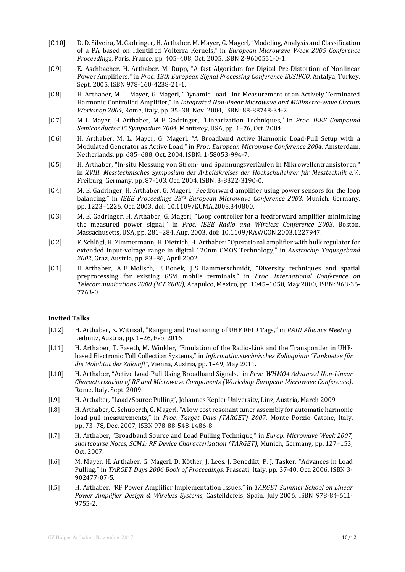- [C.10] D. D. Silveira, M. Gadringer, H. Arthaber, M. Mayer, G. Magerl, "Modeling, Analysis and Classification of a PA based on Identified Volterra Kernels," in *European Microwave Week 2005 Conference Proceedings*, Paris, France, pp. 405–408, Oct. 2005, ISBN 2-9600551-0-1.
- [C.9] E. Aschbacher, H. Arthaber, M. Rupp, "A fast Algorithm for Digital Pre-Distortion of Nonlinear Power Amplifiers," in *Proc. 13th European Signal Processing Conference EUSIPCO*, Antalya, Turkey, Sept. 2005, ISBN 978-160-4238-21-1.
- [C.8] H. Arthaber, M. L. Mayer, G. Magerl, "Dynamic Load Line Measurement of an Actively Terminated Harmonic Controlled Amplifier," in *Integrated Non-linear Microwave and Millimetre-wave Circuits Workshop 2004*, Rome, Italy, pp. 35–38, Nov. 2004, ISBN: 88-88748-34-2.
- [C.7] M. L. Mayer, H. Arthaber, M. E. Gadringer, "Linearization Techniques," in *Proc. IEEE Compound Semiconductor IC Symposium 2004*, Monterey, USA, pp. 1–76, Oct. 2004.
- [C.6] H. Arthaber, M. L. Mayer, G. Magerl, "A Broadband Active Harmonic Load-Pull Setup with a Modulated Generator as Active Load," in *Proc. European Microwave Conference 2004*, Amsterdam, Netherlands, pp. 685–688, Oct. 2004, ISBN: 1-58053-994-7.
- [C.5] H. Arthaber, "In-situ Messung von Strom- und Spannungsverläufen in Mikrowellentransistoren," in *XVIII. Messtechnisches Symposium des Arbeitskreises der Hochschullehrer für Messtechnik e.V.*, Freiburg, Germany, pp. 87-103, Oct. 2004, ISBN: 3-8322-3190-0.
- [C.4] M. E. Gadringer, H. Arthaber, G. Magerl, "Feedforward amplifier using power sensors for the loop balancing," in *IEEE Proceedings 33rd European Microwave Conference 2003*, Munich, Germany, pp. 1223–1226, Oct. 2003, doi: 10.1109/EUMA.2003.340800.
- [C.3] M. E. Gadringer, H. Arthaber, G. Magerl, "Loop controller for a feedforward amplifier minimizing the measured power signal," in *Proc. IEEE Radio and Wireless Conference 2003*, Boston, Massachusetts, USA, pp. 281–284, Aug. 2003, doi: 10.1109/RAWCON.2003.1227947.
- [C.2] F. Schlögl, H. Zimmermann, H. Dietrich, H. Arthaber: "Operational amplifier with bulk regulator for extended input-voltage range in digital 120nm CMOS Technology," in *Austrochip Tagungsband 2002*, Graz, Austria, pp. 83–86, April 2002.
- [C.1] H. Arthaber, A. F. Molisch, E. Bonek, J. S. Hammerschmidt, "Diversity techniques and spatial preprocessing for existing GSM mobile terminals," in *Proc. International Conference on Telecommunications 2000 (ICT 2000)*, Acapulco, Mexico, pp. 1045–1050, May 2000, ISBN: 968-36- 7763-0.

#### **Invited Talks**

- [I.12] H. Arthaber, K. Witrisal, "Ranging and Positioning of UHF RFID Tags," in *RAIN Alliance Meeting*, Leibnitz, Austria, pp. 1–26, Feb. 2016
- [I.11] H. Arthaber, T. Faseth, M. Winkler, "Emulation of the Radio-Link and the Transponder in UHFbased Electronic Toll Collection Systems," in *Informationstechnisches Kolloquium "Funknetze für die Mobilität der Zukunft"*, Vienna, Austria, pp. 1–49, May 2011.
- [I.10] H. Arthaber, "Active Load-Pull Using Broadband Signals," in *Proc. WHMO4 Advanced Non-Linear Characterization of RF and Microwave Components (Workshop European Microwave Conference)*, Rome, Italy, Sept. 2009.
- [I.9] H. Arthaber, "Load/Source Pulling", Johannes Kepler University, Linz, Austria, March 2009
- [I.8] H. Arthaber, C. Schuberth, G. Magerl, "A low cost resonant tuner assembly for automatic harmonic load-pull measurements," in *Proc. Target Days (TARGET)–2007*, Monte Porzio Catone, Italy, pp. 73–78, Dec. 2007, ISBN 978-88-548-1486-8.
- [I.7] H. Arthaber, "Broadband Source and Load Pulling Technique," in *Europ. Microwave Week 2007, shortcourse Notes, SCM1: RF Device Characterisation (TARGET)*, Munich, Germany, pp. 127–153, Oct. 2007.
- [I.6] M. Mayer, H. Arthaber, G. Magerl, D. Köther, J. Lees, J. Benedikt, P. J. Tasker, "Advances in Load Pulling," in *TARGET Days 2006 Book of Proceedings*, Frascati, Italy, pp. 37-40, Oct. 2006, ISBN 3- 902477-07-5.
- [I.5] H. Arthaber, "RF Power Amplifier Implementation Issues," in *TARGET Summer School on Linear Power Amplifier Design & Wireless Systems*, Castelldefels, Spain, July 2006, ISBN 978-84-611- 9755-2.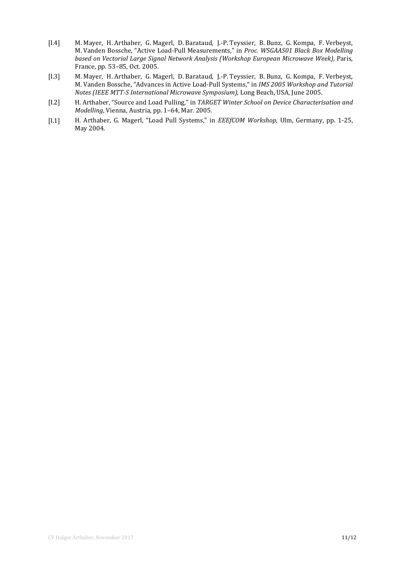- [I.4] M. Mayer, H. Arthaber, G. Magerl, D. Barataud, J.-P. Teyssier, B. Bunz, G. Kompa, F. Verbeyst, M. Vanden Bossche, "Active Load-Pull Measurements," in *Proc. WSGAAS01 Black Box Modelling based on Vectorial Large Signal Network Analysis (Workshop European Microwave Week)*, Paris, France, pp. 53–85, Oct. 2005.
- [I.3] M. Mayer, H. Arthaber, G. Magerl, D. Barataud, J.-P. Teyssier, B. Bunz, G. Kompa, F. Verbeyst, M. Vanden Bossche, "Advances in Active Load-Pull Systems," in *IMS 2005 Workshop and Tutorial Notes (IEEE MTT-S International Microwave Symposium)*, Long Beach, USA, June 2005.
- [I.2] H. Arthaber, "Source and Load Pulling," in *TARGET Winter School on Device Characterisation and Modelling*, Vienna, Austria, pp. 1–64, Mar. 2005.
- [I.1] H. Arthaber, G. Magerl, "Load Pull Systems," in *EEEfCOM Workshop*, Ulm, Germany, pp. 1-25, May 2004.